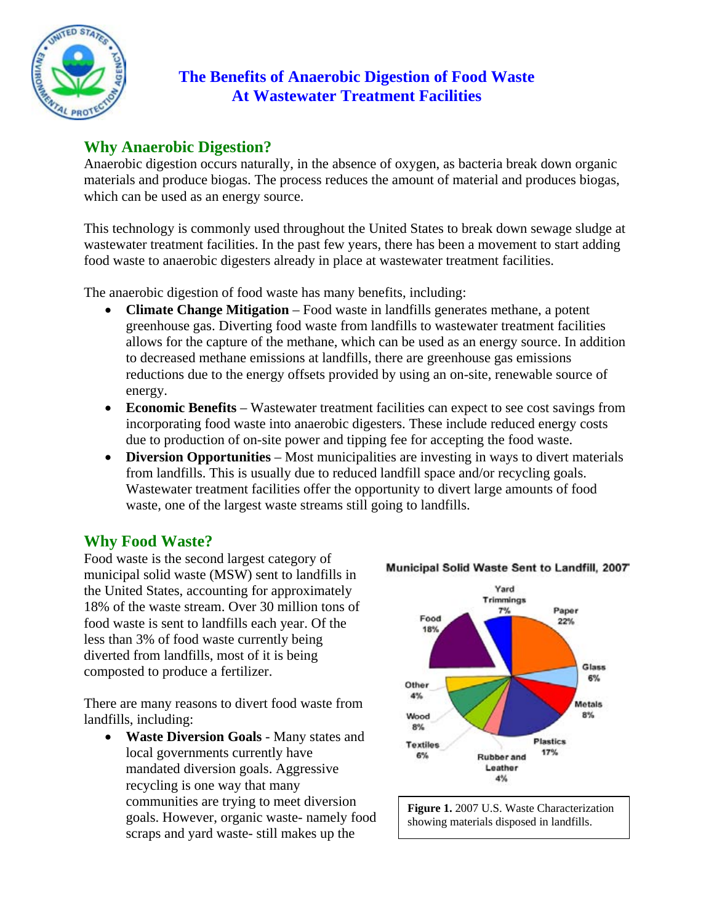

## **The Benefits of Anaerobic Digestion of Food Waste At Wastewater Treatment Facilities**

# **Why Anaerobic Digestion?**

Anaerobic digestion occurs naturally, in the absence of oxygen, as bacteria break down organic materials and produce biogas. The process reduces the amount of material and produces biogas, which can be used as an energy source.

This technology is commonly used throughout the United States to break down sewage sludge at wastewater treatment facilities. In the past few years, there has been a movement to start adding food waste to anaerobic digesters already in place at wastewater treatment facilities.

The anaerobic digestion of food waste has many benefits, including:

- **Climate Change Mitigation** Food waste in landfills generates methane, a potent greenhouse gas. Diverting food waste from landfills to wastewater treatment facilities allows for the capture of the methane, which can be used as an energy source. In addition to decreased methane emissions at landfills, there are greenhouse gas emissions reductions due to the energy offsets provided by using an on-site, renewable source of energy.
- **Economic Benefits** Wastewater treatment facilities can expect to see cost savings from incorporating food waste into anaerobic digesters. These include reduced energy costs due to production of on-site power and tipping fee for accepting the food waste.
- **Diversion Opportunities** Most municipalities are investing in ways to divert materials from landfills. This is usually due to reduced landfill space and/or recycling goals. Wastewater treatment facilities offer the opportunity to divert large amounts of food waste, one of the largest waste streams still going to landfills.

## **Why Food Waste?**

Food waste is the second largest category of municipal solid waste (MSW) sent to landfills in the United States, accounting for approximately 18% of the waste stream. Over 30 million tons of food waste is sent to landfills each year. Of the less than 3% of food waste currently being diverted from landfills, most of it is being composted to produce a fertilizer.

There are many reasons to divert food waste from landfills, including:

• **Waste Diversion Goals** - Many states and local governments currently have mandated diversion goals. Aggressive recycling is one way that many communities are trying to meet diversion goals. However, organic waste- namely food scraps and yard waste- still makes up the





#### Municipal Solid Waste Sent to Landfill, 2007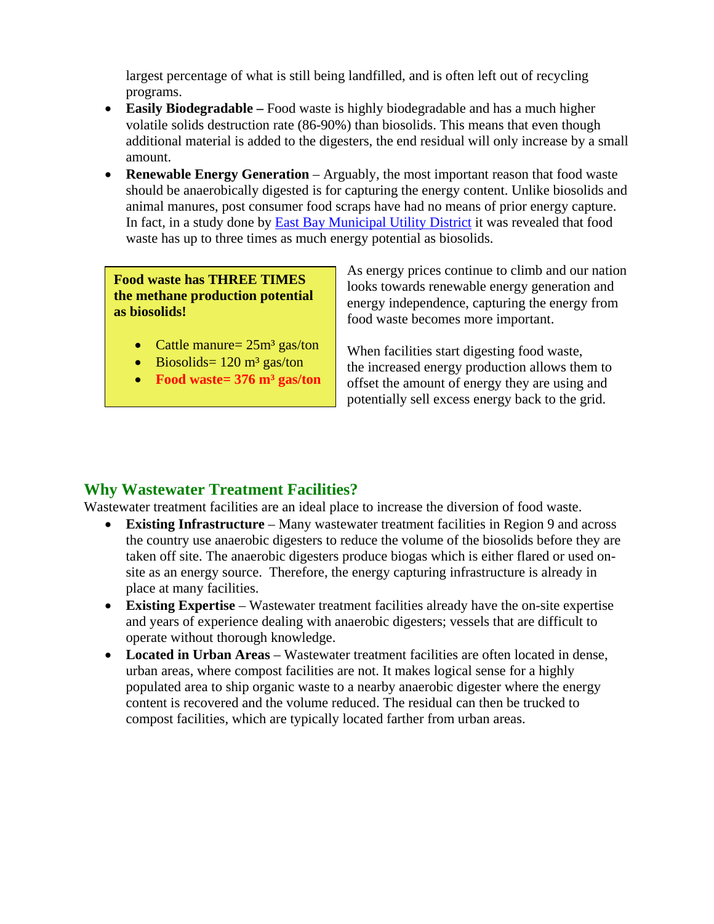largest percentage of what is still being landfilled, and is often left out of recycling programs.

- **Easily Biodegradable –** Food waste is highly biodegradable and has a much higher volatile solids destruction rate (86-90%) than biosolids. This means that even though additional material is added to the digesters, the end residual will only increase by a small amount.
- **Renewable Energy Generation** Arguably, the most important reason that food waste should be anaerobically digested is for capturing the energy content. Unlike biosolids and animal manures, post consumer food scraps have had no means of prior energy capture. In fact, in a study done by [East Bay Municipal Utility District](http://www.epa.gov/region09/waste/organics/ad/EBMUDFinalReport.pdf) it was revealed that food waste has up to three times as much energy potential as biosolids.

#### **Food waste has THREE TIMES the methane production potential as biosolids!**

- Cattle manure=  $25m^3$  gas/ton
- Biosolids=  $120 \text{ m}^3$  gas/ton
- **Food waste= 376 m³ gas/ton**

As energy prices continue to climb and our nation looks towards renewable energy generation and energy independence, capturing the energy from food waste becomes more important.

When facilities start digesting food waste, the increased energy production allows them to offset the amount of energy they are using and potentially sell excess energy back to the grid.

### **Why Wastewater Treatment Facilities?**

Wastewater treatment facilities are an ideal place to increase the diversion of food waste.

- **Existing Infrastructure** Many wastewater treatment facilities in Region 9 and across the country use anaerobic digesters to reduce the volume of the biosolids before they are taken off site. The anaerobic digesters produce biogas which is either flared or used onsite as an energy source. Therefore, the energy capturing infrastructure is already in place at many facilities.
- **Existing Expertise** Wastewater treatment facilities already have the on-site expertise and years of experience dealing with anaerobic digesters; vessels that are difficult to operate without thorough knowledge.
- Located in Urban Areas Wastewater treatment facilities are often located in dense, urban areas, where compost facilities are not. It makes logical sense for a highly populated area to ship organic waste to a nearby anaerobic digester where the energy content is recovered and the volume reduced. The residual can then be trucked to compost facilities, which are typically located farther from urban areas.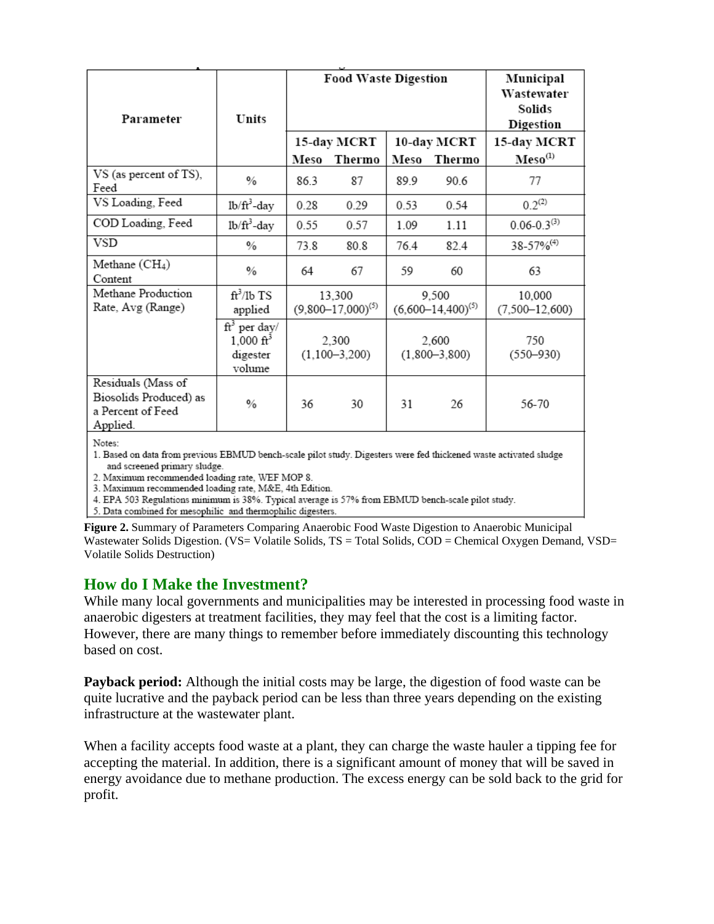| Parameter                                                                     | Units                                                         | <b>Food Waste Digestion</b> |        |                          |        | Municipal<br>Wastewater<br>Solids<br>Digestion |
|-------------------------------------------------------------------------------|---------------------------------------------------------------|-----------------------------|--------|--------------------------|--------|------------------------------------------------|
|                                                                               |                                                               | 15-day MCRT                 |        | 10-day MCRT              |        | 15-day MCRT                                    |
|                                                                               |                                                               | Meso                        | Thermo | Meso                     | Thermo | $Meso^{(1)}$                                   |
| VS (as percent of TS),<br>Feed                                                | $\frac{0}{0}$                                                 | 86.3                        | 87     | 89.9                     | 90.6   | 77                                             |
| VS Loading, Feed                                                              | $1b/ft^3$ -day                                                | 0.28                        | 0.29   | 0.53                     | 0.54   | $0.2^{(2)}$                                    |
| COD Loading, Feed                                                             | lb/ft <sup>3</sup> -day                                       | 0.55                        | 0.57   | 1.09                     | 1.11   | $0.06 - 0.3(3)$                                |
| VSD                                                                           | $\%$                                                          | 73.8                        | 80.8   | 76.4                     | 82.4   | 38-57% <sup>(4)</sup>                          |
| Methane $(CH_4)$<br>Content                                                   | $\%$                                                          | 64                          | 67     | 59                       | 60     | 63                                             |
| Methane Production                                                            | $\mathrm{ft}^3/\mathrm{lb}$ TS                                | 13,300                      |        | 9,500                    |        | 10,000                                         |
| Rate, Avg (Range)                                                             | applied                                                       | $(9,800 - 17,000)^{(5)}$    |        | $(6,600-14,400)^{(5)}$   |        | $(7,500 - 12,600)$                             |
|                                                                               | $ft^3$ per day/<br>$1,000 \text{ ft}^3$<br>digester<br>volume | 2,300<br>$(1,100-3,200)$    |        | 2,600<br>$(1,800-3,800)$ |        | 750<br>$(550 - 930)$                           |
| Residuals (Mass of<br>Biosolids Produced) as<br>a Percent of Feed<br>Applied. | $\frac{0}{0}$                                                 | 36                          | 30     | 31                       | 26     | 56-70                                          |
| Notes:                                                                        |                                                               |                             |        |                          |        |                                                |

1. Based on data from previous EBMUD bench-scale pilot study. Digesters were fed thickened waste activated sludge and screened primary sludge.

2. Maximum recommended loading rate, WEF MOP 8.

3. Maximum recommended loading rate, M&E, 4th Edition.

4. EPA 503 Regulations minimum is 38%. Typical average is 57% from EBMUD bench-scale pilot study.

5. Data combined for mesophilic and thermophilic digesters.

**Figure 2.** Summary of Parameters Comparing Anaerobic Food Waste Digestion to Anaerobic Municipal Wastewater Solids Digestion. (VS= Volatile Solids, TS = Total Solids, COD = Chemical Oxygen Demand, VSD= Volatile Solids Destruction)

### **How do I Make the Investment?**

While many local governments and municipalities may be interested in processing food waste in anaerobic digesters at treatment facilities, they may feel that the cost is a limiting factor. However, there are many things to remember before immediately discounting this technology based on cost.

**Payback period:** Although the initial costs may be large, the digestion of food waste can be quite lucrative and the payback period can be less than three years depending on the existing infrastructure at the wastewater plant.

When a facility accepts food waste at a plant, they can charge the waste hauler a tipping fee for accepting the material. In addition, there is a significant amount of money that will be saved in energy avoidance due to methane production. The excess energy can be sold back to the grid for profit.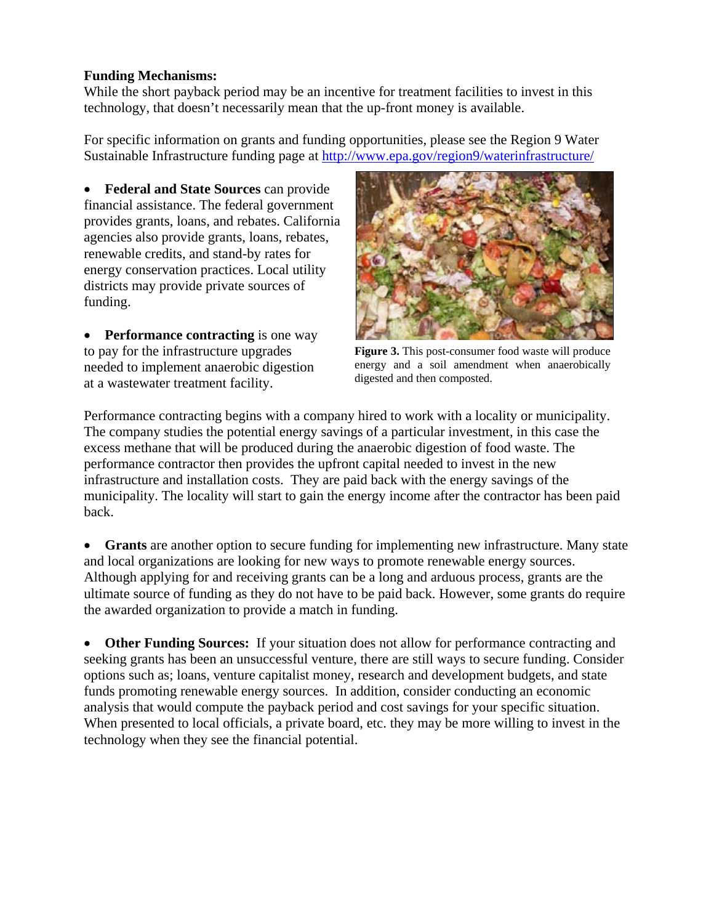#### **Funding Mechanisms:**

While the short payback period may be an incentive for treatment facilities to invest in this technology, that doesn't necessarily mean that the up-front money is available.

For specific information on grants and funding opportunities, please see the Region 9 Water Sustainable Infrastructure funding page at<http://www.epa.gov/region9/waterinfrastructure/>

• **Federal and State Sources** can provide financial assistance. The federal government provides grants, loans, and rebates. California agencies also provide grants, loans, rebates, renewable credits, and stand-by rates for energy conservation practices. Local utility districts may provide private sources of funding.

• **Performance contracting** is one way to pay for the infrastructure upgrades needed to implement anaerobic digestion at a wastewater treatment facility.



**Figure 3.** This post-consumer food waste will produce energy and a soil amendment when anaerobically digested and then composted.

Performance contracting begins with a company hired to work with a locality or municipality. The company studies the potential energy savings of a particular investment, in this case the excess methane that will be produced during the anaerobic digestion of food waste. The performance contractor then provides the upfront capital needed to invest in the new infrastructure and installation costs. They are paid back with the energy savings of the municipality. The locality will start to gain the energy income after the contractor has been paid back.

• **Grants** are another option to secure funding for implementing new infrastructure. Many state and local organizations are looking for new ways to promote renewable energy sources. Although applying for and receiving grants can be a long and arduous process, grants are the ultimate source of funding as they do not have to be paid back. However, some grants do require the awarded organization to provide a match in funding.

**Other Funding Sources:** If your situation does not allow for performance contracting and seeking grants has been an unsuccessful venture, there are still ways to secure funding. Consider options such as; loans, venture capitalist money, research and development budgets, and state funds promoting renewable energy sources. In addition, consider conducting an economic analysis that would compute the payback period and cost savings for your specific situation. When presented to local officials, a private board, etc. they may be more willing to invest in the technology when they see the financial potential.